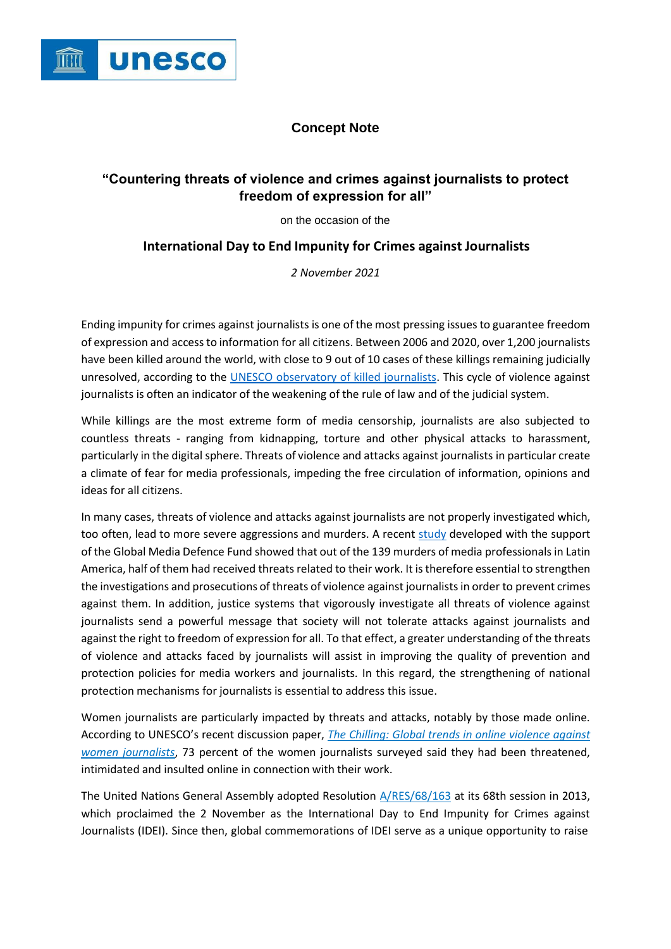

## **Concept Note**

## **"Countering threats of violence and crimes against journalists to protect freedom of expression for all"**

on the occasion of the

## **International Day to End Impunity for Crimes against Journalists**

*2 November 2021*

Ending impunity for crimes against journalists is one of the most pressing issuesto guarantee freedom of expression and accessto information for all citizens. Between 2006 and 2020, over 1,200 journalists have been killed around the world, with close to 9 out of 10 cases of these killings remaining judicially unresolved, according to the [UNESCO observatory of killed journalists.](https://en.unesco.org/themes/safety-journalists/observatory?page=1) This cycle of violence against journalists is often an indicator of the weakening of the rule of law and of the judicial system.

While killings are the most extreme form of media censorship, journalists are also subjected to countless threats - ranging from kidnapping, torture and other physical attacks to harassment, particularly in the digital sphere. Threats of violence and attacks against journalists in particular create a climate of fear for media professionals, impeding the free circulation of information, opinions and ideas for all citizens.

In many cases, threats of violence and attacks against journalists are not properly investigated which, too often, lead to more severe aggressions and murders. A recent [study](https://rsf.org/en/reports/2011-2020-study-journalist-murders-latin-america-confirms-importance-strengthening-protection) developed with the support of the Global Media Defence Fund showed that out of the 139 murders of media professionals in Latin America, half of them had received threats related to their work. It is therefore essential to strengthen the investigations and prosecutions of threats of violence against journalistsin order to prevent crimes against them. In addition, justice systems that vigorously investigate all threats of violence against journalists send a powerful message that society will not tolerate attacks against journalists and against the right to freedom of expression for all. To that effect, a greater understanding of the threats of violence and attacks faced by journalists will assist in improving the quality of prevention and protection policies for media workers and journalists. In this regard, the strengthening of national protection mechanisms for journalists is essential to address this issue.

Women journalists are particularly impacted by threats and attacks, notably by those made online. According to UNESCO's recent discussion paper, *[The Chilling: Global trends in online](https://unesdoc.unesco.org/ark:/48223/pf0000377223) violence against [women journalists](https://unesdoc.unesco.org/ark:/48223/pf0000377223)*, 73 percent of the women journalists surveyed said they had been threatened, intimidated and insulted online in connection with their work.

The United Nations General Assembly adopted Resolution [A/RES/68/163](https://www.un.org/en/ga/search/view_doc.asp?symbol=A/RES/68/163) at its 68th session in 2013, which proclaimed the 2 November as the International Day to End Impunity for Crimes against Journalists (IDEI). Since then, global commemorations of IDEI serve as a unique opportunity to raise